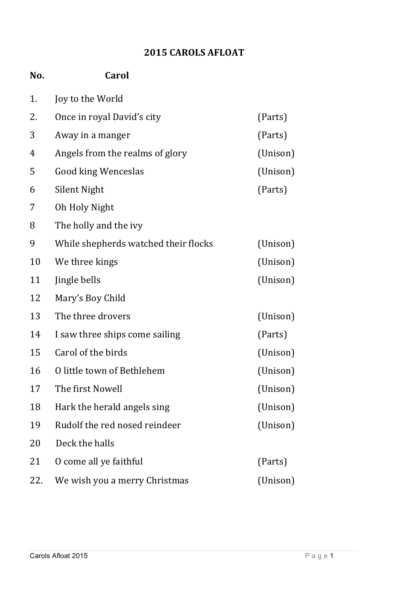# **2015 CAROLS AFLOAT**

| No. | <b>Carol</b>                         |          |
|-----|--------------------------------------|----------|
| 1.  | Joy to the World                     |          |
| 2.  | Once in royal David's city           | (Parts)  |
| 3   | Away in a manger                     | (Parts)  |
| 4   | Angels from the realms of glory      | (Unison) |
| 5   | Good king Wenceslas                  | (Unison) |
| 6   | <b>Silent Night</b>                  | (Parts)  |
| 7   | Oh Holy Night                        |          |
| 8   | The holly and the ivy                |          |
| 9   | While shepherds watched their flocks | (Unison) |
| 10  | We three kings                       | (Unison) |
| 11  | Jingle bells                         | (Unison) |
| 12  | Mary's Boy Child                     |          |
| 13  | The three drovers                    | (Unison) |
| 14  | I saw three ships come sailing       | (Parts)  |
| 15  | Carol of the birds                   | (Unison) |
| 16  | O little town of Bethlehem           | (Unison) |
| 17  | The first Nowell                     | (Unison) |
| 18  | Hark the herald angels sing          | (Unison) |
| 19  | Rudolf the red nosed reindeer        | (Unison) |
| 20  | Deck the halls                       |          |
| 21  | O come all ye faithful               | (Parts)  |
| 22. | We wish you a merry Christmas        | (Unison) |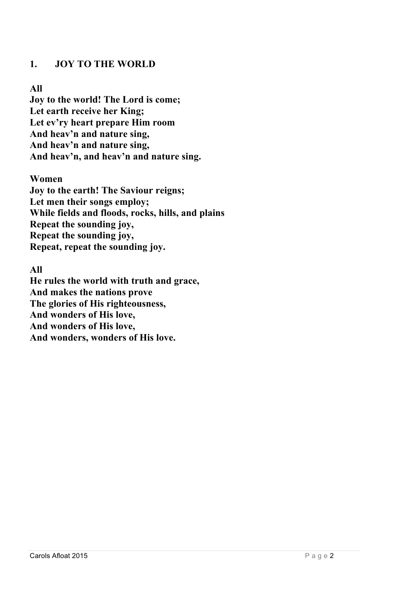### **1. JOY TO THE WORLD**

#### **All**

**Joy to the world! The Lord is come; Let earth receive her King; Let ev'ry heart prepare Him room And heav'n and nature sing, And heav'n and nature sing, And heav'n, and heav'n and nature sing.**

#### **Women**

**Joy to the earth! The Saviour reigns; Let men their songs employ; While fields and floods, rocks, hills, and plains Repeat the sounding joy, Repeat the sounding joy, Repeat, repeat the sounding joy.**

#### **All**

**He rules the world with truth and grace, And makes the nations prove The glories of His righteousness, And wonders of His love, And wonders of His love, And wonders, wonders of His love.**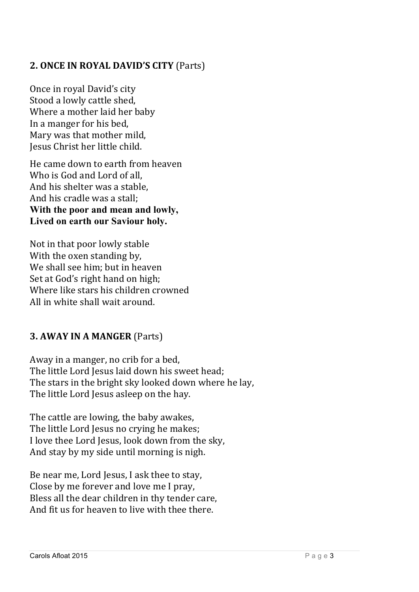# **2. ONCE IN ROYAL DAVID'S CITY (Parts)**

Once in royal David's city Stood a lowly cattle shed, Where a mother laid her baby In a manger for his bed. Mary was that mother mild, Jesus Christ her little child.

He came down to earth from heaven Who is God and Lord of all. And his shelter was a stable, And his cradle was a stall: **With the poor and mean and lowly, Lived on earth our Saviour holy.**

Not in that poor lowly stable With the oxen standing by. We shall see him; but in heaven Set at God's right hand on high; Where like stars his children crowned All in white shall wait around.

# **3. AWAY IN A MANGER (Parts)**

Away in a manger, no crib for a bed, The little Lord Jesus laid down his sweet head; The stars in the bright sky looked down where he lay, The little Lord Jesus asleep on the hay.

The cattle are lowing, the baby awakes, The little Lord Jesus no crying he makes; I love thee Lord Jesus, look down from the sky, And stay by my side until morning is nigh.

Be near me, Lord Jesus, I ask thee to stay, Close by me forever and love me I pray, Bless all the dear children in thy tender care, And fit us for heaven to live with thee there.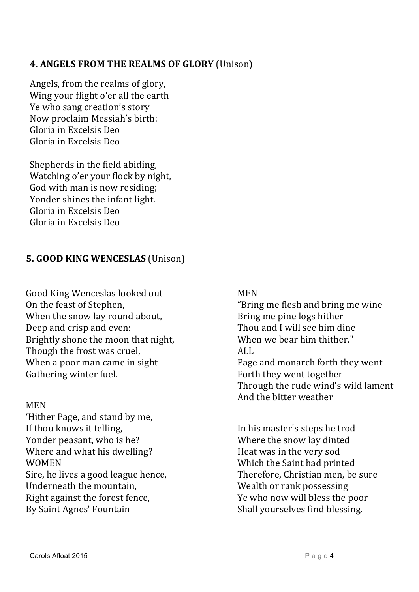# **4. ANGELS FROM THE REALMS OF GLORY** (Unison)

Angels, from the realms of glory. Wing your flight o'er all the earth Ye who sang creation's story Now proclaim Messiah's birth: Gloria in Excelsis Deo Gloria in Excelsis Deo

Shepherds in the field abiding, Watching o'er your flock by night, God with man is now residing; Yonder shines the infant light. Gloria in Excelsis Deo Gloria in Excelsis Deo

# **5. GOOD KING WENCESLAS** (Unison)

Good King Wenceslas looked out On the feast of Stephen, When the snow lay round about, Deep and crisp and even: Brightly shone the moon that night, Though the frost was cruel. When a poor man came in sight Gathering winter fuel.

### MEN

'Hither Page, and stand by me, If thou knows it telling. Yonder peasant, who is he? Where and what his dwelling? WOMEN Sire, he lives a good league hence, Underneath the mountain. Right against the forest fence, By Saint Agnes' Fountain

### MEN

"Bring me flesh and bring me wine Bring me pine logs hither Thou and I will see him dine When we bear him thither." ALL. Page and monarch forth they went

Forth they went together Through the rude wind's wild lament And the bitter weather

In his master's steps he trod Where the snow lay dinted Heat was in the very sod Which the Saint had printed Therefore, Christian men, be sure Wealth or rank possessing Ye who now will bless the poor Shall yourselves find blessing.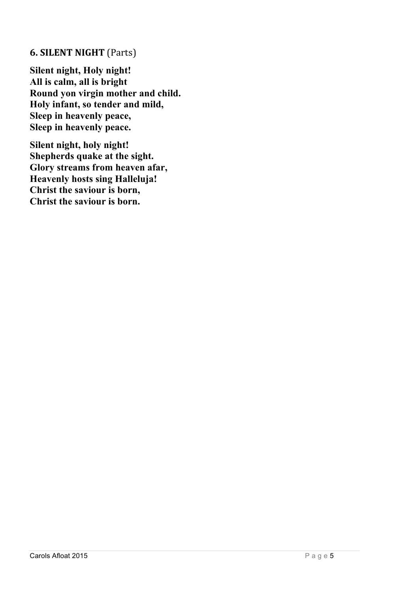### **6. SILENT NIGHT** (Parts)

**Silent night, Holy night! All is calm, all is bright Round yon virgin mother and child. Holy infant, so tender and mild, Sleep in heavenly peace, Sleep in heavenly peace.**

**Silent night, holy night! Shepherds quake at the sight. Glory streams from heaven afar, Heavenly hosts sing Halleluja! Christ the saviour is born, Christ the saviour is born.**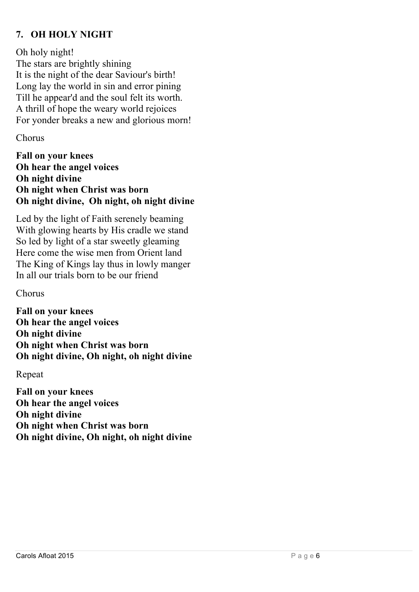# **7. OH HOLY NIGHT**

Oh holy night! The stars are brightly shining It is the night of the dear Saviour's birth! Long lay the world in sin and error pining Till he appear'd and the soul felt its worth. A thrill of hope the weary world rejoices For yonder breaks a new and glorious morn!

Chorus

**Fall on your knees Oh hear the angel voices Oh night divine Oh night when Christ was born Oh night divine, Oh night, oh night divine**

Led by the light of Faith serenely beaming With glowing hearts by His cradle we stand So led by light of a star sweetly gleaming Here come the wise men from Orient land The King of Kings lay thus in lowly manger In all our trials born to be our friend

Chorus

**Fall on your knees Oh hear the angel voices Oh night divine Oh night when Christ was born Oh night divine, Oh night, oh night divine**

Repeat

**Fall on your knees Oh hear the angel voices Oh night divine Oh night when Christ was born Oh night divine, Oh night, oh night divine**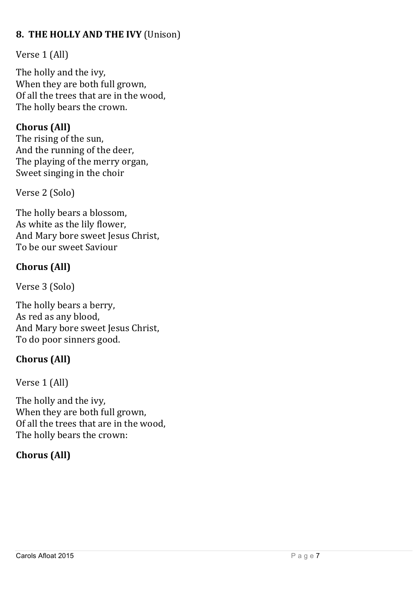# **8. THE HOLLY AND THE IVY (Unison)**

Verse 1 (All)

The holly and the ivy, When they are both full grown, Of all the trees that are in the wood, The holly bears the crown.

## **Chorus (All)**

The rising of the sun, And the running of the deer, The playing of the merry organ, Sweet singing in the choir

Verse 2 (Solo)

The holly bears a blossom, As white as the lily flower, And Mary bore sweet Jesus Christ, To be our sweet Saviour

# **Chorus (All)**

Verse 3 (Solo)

The holly bears a berry, As red as any blood, And Mary bore sweet Jesus Christ, To do poor sinners good.

### **Chorus (All)**

Verse 1 (All)

The holly and the ivy, When they are both full grown, Of all the trees that are in the wood, The holly bears the crown:

# **Chorus (All)**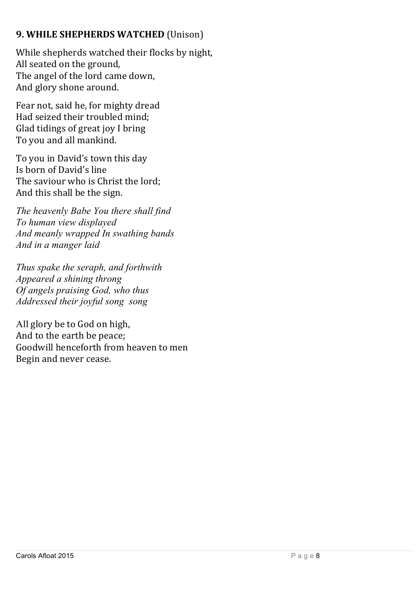# **9. WHILE SHEPHERDS WATCHED** (Unison)

While shepherds watched their flocks by night, All seated on the ground, The angel of the lord came down, And glory shone around.

Fear not, said he, for mighty dread Had seized their troubled mind; Glad tidings of great joy I bring To you and all mankind.

To you in David's town this day Is born of David's line The saviour who is Christ the lord: And this shall be the sign.

*The heavenly Babe You there shall find To human view displayed And meanly wrapped In swathing bands And in a manger laid* 

*Thus spake the seraph, and forthwith Appeared a shining throng Of angels praising God, who thus Addressed their joyful song song*

All glory be to God on high, And to the earth be peace; Goodwill henceforth from heaven to men Begin and never cease.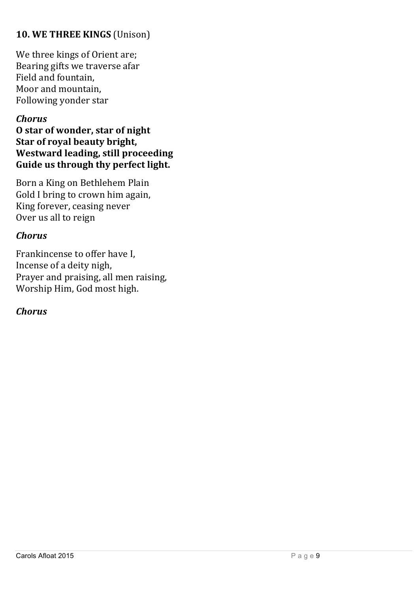## **10. WE THREE KINGS** (Unison)

We three kings of Orient are; Bearing gifts we traverse afar Field and fountain, Moor and mountain, Following yonder star

### *Chorus*

**O** star of wonder, star of night **Star of royal beauty bright, Westward leading, still proceeding** Guide us through thy perfect light.

Born a King on Bethlehem Plain Gold I bring to crown him again, King forever, ceasing never Over us all to reign

#### *Chorus*

Frankincense to offer have I, Incense of a deity nigh, Prayer and praising, all men raising, Worship Him, God most high.

*Chorus*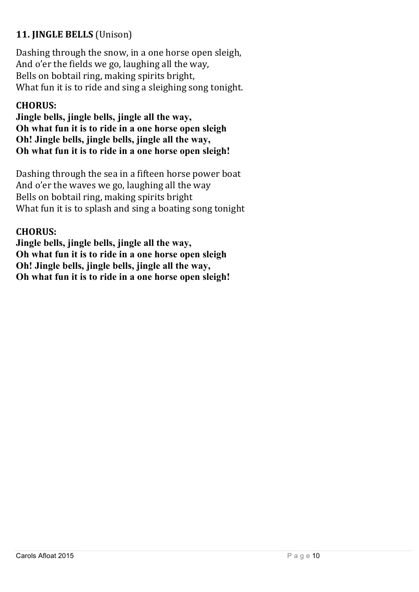# **11. JINGLE BELLS** (Unison)

Dashing through the snow, in a one horse open sleigh, And o'er the fields we go, laughing all the way, Bells on bobtail ring, making spirits bright, What fun it is to ride and sing a sleighing song tonight.

# **CHORUS:**

**Jingle bells, jingle bells, jingle all the way, Oh what fun it is to ride in a one horse open sleigh Oh! Jingle bells, jingle bells, jingle all the way, Oh what fun it is to ride in a one horse open sleigh!** 

Dashing through the sea in a fifteen horse power boat And o'er the waves we go, laughing all the way Bells on bobtail ring, making spirits bright What fun it is to splash and sing a boating song tonight

### **CHORUS:**

**Jingle bells, jingle bells, jingle all the way, Oh what fun it is to ride in a one horse open sleigh Oh! Jingle bells, jingle bells, jingle all the way,** Oh what fun it is to ride in a one horse open sleigh!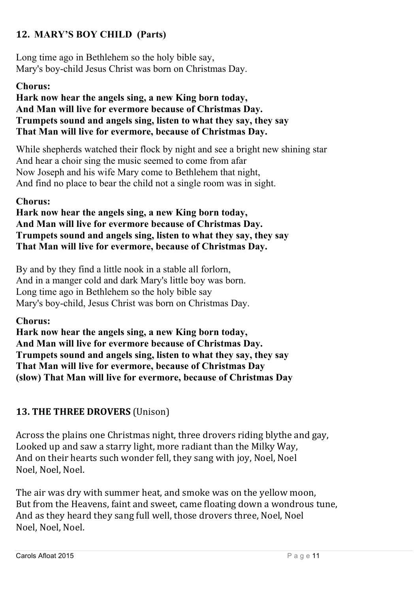## **12. MARY'S BOY CHILD (Parts)**

Long time ago in Bethlehem so the holy bible say, Mary's boy-child Jesus Christ was born on Christmas Day.

### **Chorus:**

### **Hark now hear the angels sing, a new King born today, And Man will live for evermore because of Christmas Day. Trumpets sound and angels sing, listen to what they say, they say That Man will live for evermore, because of Christmas Day.**

While shepherds watched their flock by night and see a bright new shining star And hear a choir sing the music seemed to come from afar Now Joseph and his wife Mary come to Bethlehem that night, And find no place to bear the child not a single room was in sight.

#### **Chorus:**

**Hark now hear the angels sing, a new King born today, And Man will live for evermore because of Christmas Day. Trumpets sound and angels sing, listen to what they say, they say That Man will live for evermore, because of Christmas Day.**

By and by they find a little nook in a stable all forlorn, And in a manger cold and dark Mary's little boy was born. Long time ago in Bethlehem so the holy bible say Mary's boy-child, Jesus Christ was born on Christmas Day.

**Chorus:**

**Hark now hear the angels sing, a new King born today, And Man will live for evermore because of Christmas Day. Trumpets sound and angels sing, listen to what they say, they say That Man will live for evermore, because of Christmas Day (slow) That Man will live for evermore, because of Christmas Day**

### **13. THE THREE DROVERS** (Unison)

Across the plains one Christmas night, three drovers riding blythe and gay, Looked up and saw a starry light, more radiant than the Milky Way, And on their hearts such wonder fell, they sang with joy, Noel, Noel Noel, Noel, Noel.

The air was dry with summer heat, and smoke was on the yellow moon, But from the Heavens, faint and sweet, came floating down a wondrous tune, And as they heard they sang full well, those drovers three, Noel, Noel Noel, Noel, Noel.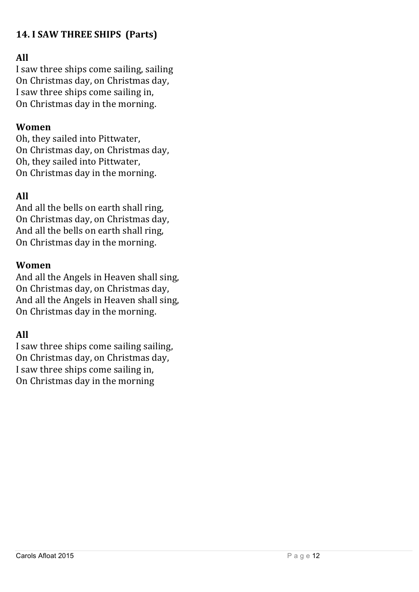# **14. I SAW THREE SHIPS (Parts)**

## **All**

I saw three ships come sailing, sailing On Christmas day, on Christmas day, I saw three ships come sailing in, On Christmas day in the morning.

### **Women**

Oh, they sailed into Pittwater, On Christmas day, on Christmas day, Oh, they sailed into Pittwater, On Christmas day in the morning.

# **All**

And all the bells on earth shall ring, On Christmas day, on Christmas day, And all the bells on earth shall ring, On Christmas day in the morning.

### **Women**

And all the Angels in Heaven shall sing, On Christmas day, on Christmas day, And all the Angels in Heaven shall sing, On Christmas day in the morning.

### **All**

I saw three ships come sailing sailing, On Christmas day, on Christmas day, I saw three ships come sailing in, On Christmas day in the morning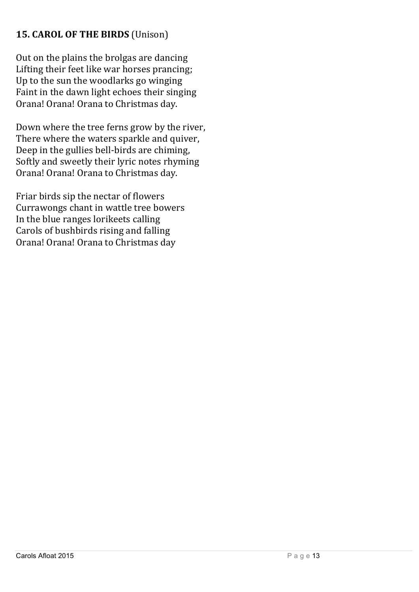## **15. CAROL OF THE BIRDS** (Unison)

Out on the plains the brolgas are dancing Lifting their feet like war horses prancing; Up to the sun the woodlarks go winging Faint in the dawn light echoes their singing Orana! Orana! Orana to Christmas day.

Down where the tree ferns grow by the river, There where the waters sparkle and quiver, Deep in the gullies bell-birds are chiming, Softly and sweetly their lyric notes rhyming Orana! Orana! Orana to Christmas day.

Friar birds sip the nectar of flowers Currawongs chant in wattle tree bowers In the blue ranges lorikeets calling Carols of bushbirds rising and falling Orana! Orana! Orana to Christmas day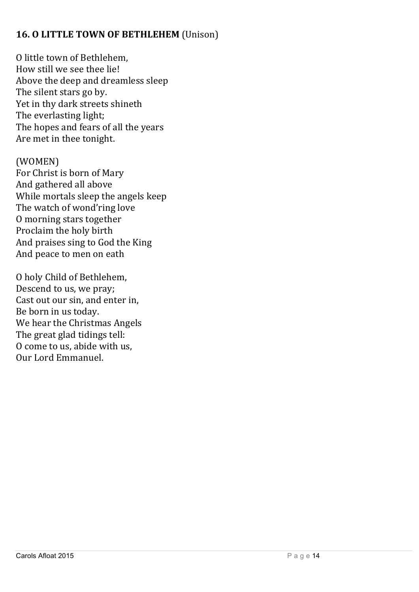# **16. O LITTLE TOWN OF BETHLEHEM (Unison)**

O little town of Bethlehem. How still we see thee lie! Above the deep and dreamless sleep The silent stars go by. Yet in thy dark streets shineth The everlasting light; The hopes and fears of all the years Are met in thee tonight.

### (WOMEN)

For Christ is born of Mary And gathered all above While mortals sleep the angels keep The watch of wond'ring love O morning stars together Proclaim the holy birth And praises sing to God the King And peace to men on eath

O holy Child of Bethlehem, Descend to us, we pray; Cast out our sin, and enter in, Be born in us today. We hear the Christmas Angels The great glad tidings tell: O come to us, abide with us, Our Lord Emmanuel.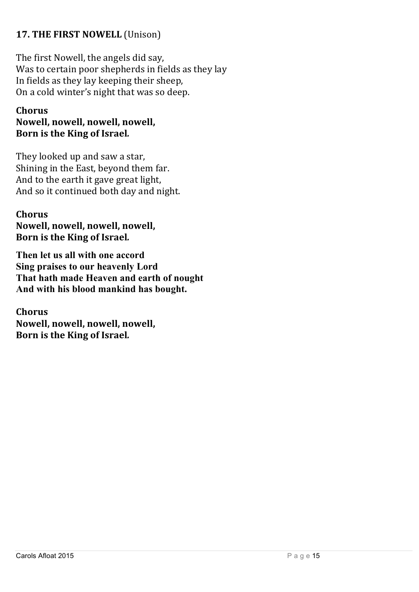# **17. THE FIRST NOWELL (Unison)**

The first Nowell, the angels did say, Was to certain poor shepherds in fields as they lay In fields as they lay keeping their sheep, On a cold winter's night that was so deep.

#### **Chorus** Nowell, nowell, nowell, nowell, **Born** is the King of Israel.

They looked up and saw a star, Shining in the East, beyond them far. And to the earth it gave great light, And so it continued both day and night.

**Chorus** Nowell, nowell, nowell, nowell, **Born** is the King of Israel.

**Then let us all with one accord Sing praises to our heavenly Lord That hath made Heaven and earth of nought And with his blood mankind has bought.**

**Chorus** Nowell, nowell, nowell, nowell, **Born** is the King of Israel.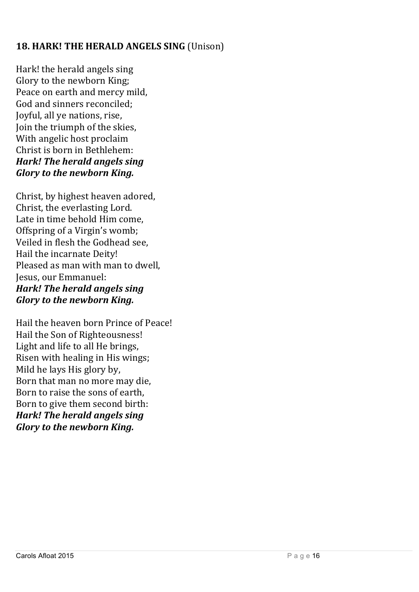# **18. HARK! THE HERALD ANGELS SING (Unison)**

Hark! the herald angels sing Glory to the newborn King; Peace on earth and mercy mild, God and sinners reconciled; Joyful, all ye nations, rise, Join the triumph of the skies, With angelic host proclaim Christ is born in Bethlehem: *Hark! The herald angels sing Glory to the newborn King.* 

Christ, by highest heaven adored, Christ, the everlasting Lord. Late in time behold Him come. Offspring of a Virgin's womb; Veiled in flesh the Godhead see, Hail the incarnate Deity! Pleased as man with man to dwell. Jesus, our Emmanuel: *Hark! The herald angels sing Glory to the newborn King.* 

Hail the heaven born Prince of Peace! Hail the Son of Righteousness! Light and life to all He brings, Risen with healing in His wings; Mild he lays His glory by, Born that man no more may die, Born to raise the sons of earth. Born to give them second birth: *Hark! The herald angels sing Glory to the newborn King.*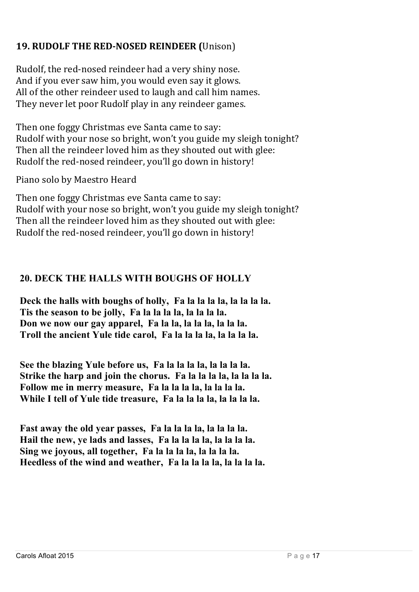# **19. RUDOLF THE RED-NOSED REINDEER (Unison)**

Rudolf, the red-nosed reindeer had a very shiny nose. And if you ever saw him, you would even say it glows. All of the other reindeer used to laugh and call him names. They never let poor Rudolf play in any reindeer games.

Then one foggy Christmas eve Santa came to say: Rudolf with your nose so bright, won't you guide my sleigh tonight? Then all the reindeer loved him as they shouted out with glee: Rudolf the red-nosed reindeer, you'll go down in history!

Piano solo by Maestro Heard

Then one foggy Christmas eve Santa came to say: Rudolf with your nose so bright, won't you guide my sleigh tonight? Then all the reindeer loved him as they shouted out with glee: Rudolf the red-nosed reindeer, you'll go down in history!

### **20. DECK THE HALLS WITH BOUGHS OF HOLLY**

**Deck the halls with boughs of holly, Fa la la la la, la la la la. Tis the season to be jolly, Fa la la la la, la la la la. Don we now our gay apparel, Fa la la, la la la, la la la. Troll the ancient Yule tide carol, Fa la la la la, la la la la.** 

**See the blazing Yule before us, Fa la la la la, la la la la. Strike the harp and join the chorus. Fa la la la la, la la la la. Follow me in merry measure, Fa la la la la, la la la la. While I tell of Yule tide treasure, Fa la la la la, la la la la.** 

**Fast away the old year passes, Fa la la la la, la la la la. Hail the new, ye lads and lasses, Fa la la la la, la la la la. Sing we joyous, all together, Fa la la la la, la la la la. Heedless of the wind and weather, Fa la la la la, la la la la.**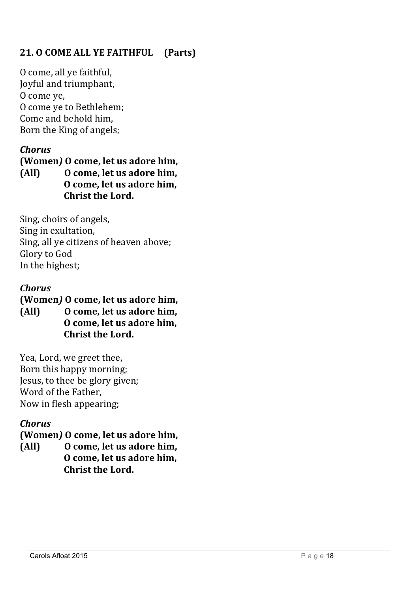# **21. O COME ALL YE FAITHFUL (Parts)**

O come, all ye faithful, Joyful and triumphant, O come ye, O come ye to Bethlehem; Come and behold him, Born the King of angels;

#### *Chorus*

## **(Women***)* **O come, let us adore him, (All) O come, let us adore him, O come, let us adore him, Christ the Lord.**

Sing, choirs of angels, Sing in exultation, Sing, all ve citizens of heaven above: Glory to God In the highest:

#### *Chorus*

### **(Women***)* **O come, let us adore him, (All) O come, let us adore him, O come, let us adore him, Christ the Lord.**

Yea, Lord, we greet thee, Born this happy morning; Jesus, to thee be glory given; Word of the Father, Now in flesh appearing:

#### *Chorus*

#### **(Women***)* **O come, let us adore him,**

**(All) O come, let us adore him, O come, let us adore him, Christ the Lord.**